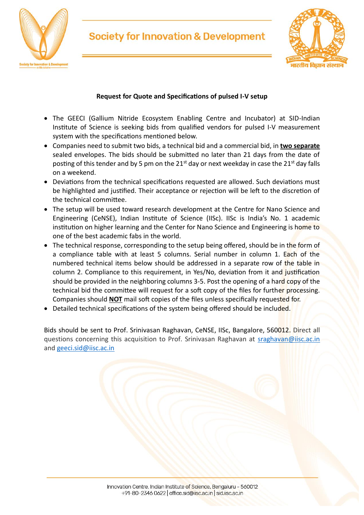

## **Society for Innovation & Development**



#### **Request for Quote and Specifications of pulsed I-V setup**

- The GEECI (Gallium Nitride Ecosystem Enabling Centre and Incubator) at SID-Indian Institute of Science is seeking bids from qualified vendors for pulsed I-V measurement system with the specifications mentioned below.
- Companies need to submit two bids, a technical bid and a commercial bid, in **two separate** sealed envelopes. The bids should be submitted no later than 21 days from the date of posting of this tender and by 5 pm on the  $21<sup>st</sup>$  day or next weekday in case the  $21<sup>st</sup>$  day falls on a weekend.
- Deviations from the technical specifications requested are allowed. Such deviations must be highlighted and justified. Their acceptance or rejection will be left to the discretion of the technical committee.
- The setup will be used toward research development at the Centre for Nano Science and Engineering (CeNSE), Indian Institute of Science (IISc). IISc is India's No. 1 academic institution on higher learning and the Center for Nano Science and Engineering is home to one of the best academic fabs in the world.
- The technical response, corresponding to the setup being offered, should be in the form of a compliance table with at least 5 columns. Serial number in column 1. Each of the numbered technical items below should be addressed in a separate row of the table in column 2. Compliance to this requirement, in Yes/No, deviation from it and justification should be provided in the neighboring columns 3-5. Post the opening of a hard copy of the technical bid the committee will request for a soft copy of the files for further processing. Companies should **NOT** mail soft copies of the files unless specifically requested for.
- Detailed technical specifications of the system being offered should be included.

Bids should be sent to Prof. Srinivasan Raghavan, CeNSE, IISc, Bangalore, 560012. Direct all questions concerning this acquisition to Prof. Srinivasan Raghavan at [sraghavan@iisc.ac.in](mailto:sraghavan@iisc.ac.in) and [geeci.sid@iisc.ac.in](mailto:geeci.sid@iisc.ac.in)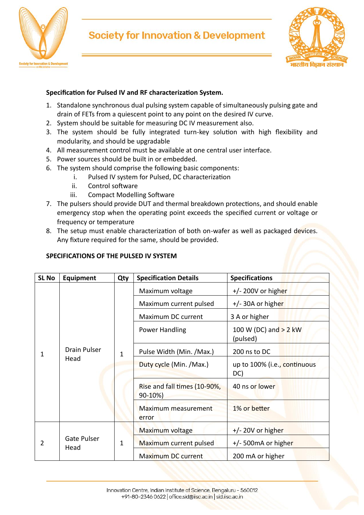

# **Society for Innovation & Development**



### **Specification for Pulsed IV and RF characterization System.**

- 1. Standalone synchronous dual pulsing system capable of simultaneously pulsing gate and drain of FETs from a quiescent point to any point on the desired IV curve.
- 2. System should be suitable for measuring DC IV measurement also.
- 3. The system should be fully integrated turn-key solution with high flexibility and modularity, and should be upgradable
- 4. All measurement control must be available at one central user interface.
- 5. Power sources should be built in or embedded.
- 6. The system should comprise the following basic components:
	- i. Pulsed IV system for Pulsed, DC characterization
	- ii. Control software
	- iii. Compact Modelling Software
- 7. The pulsers should provide DUT and thermal breakdown protections, and should enable emergency stop when the operating point exceeds the specified current or voltage or frequency or temperature
- 8. The setup must enable characterization of both on-wafer as well as packaged devices. Any fixture required for the same, should be provided.

#### **SPECIFICATIONS OF THE PULSED IV SYSTEM**

| <b>SL No</b> | Equipment                   | Qty | <b>Specification Details</b>            | <b>Specifications</b>               |
|--------------|-----------------------------|-----|-----------------------------------------|-------------------------------------|
| 1            | <b>Drain Pulser</b><br>Head | 1   | Maximum voltage                         | $+/- 200V$ or higher                |
|              |                             |     | Maximum current pulsed                  | +/- 30A or higher                   |
|              |                             |     | Maximum DC current                      | 3 A or higher                       |
|              |                             |     | Power Handling                          | 100 W (DC) and > 2 kW<br>(pulsed)   |
|              |                             |     | Pulse Width (Min. /Max.)                | 200 ns to DC                        |
|              |                             |     | Duty cycle (Min. /Max.)                 | up to 100% (i.e., continuous<br>DC) |
|              |                             |     | Rise and fall times (10-90%,<br>90-10%) | 40 ns or lower                      |
|              |                             |     | Maximum measurement<br>error            | 1% or better                        |
| 2            | <b>Gate Pulser</b><br>Head  | 1   | Maximum voltage                         | $+/- 20V$ or higher                 |
|              |                             |     | Maximum current pulsed                  | +/- 500mA or higher                 |
|              |                             |     | <b>Maximum DC current</b>               | 200 mA or higher                    |